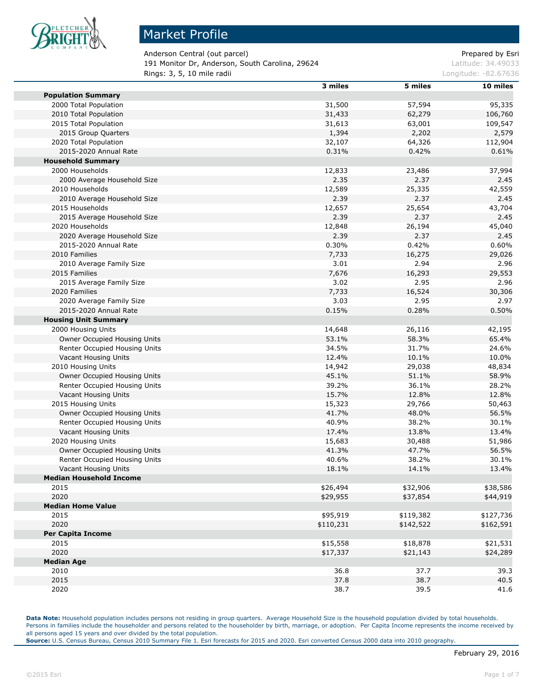

п

m

#### Market Profile

Anderson Central (out parcel) and a set of the particle of the prepared by Esri 191 Monitor Dr, Anderson, South Carolina, 29624 Latitude: 34.49033 **Rings: 3, 5, 10 mile radii Longitude: -82.67636 Longitude: -82.67636** 

|                                | 3 miles   | 5 miles   | 10 miles  |
|--------------------------------|-----------|-----------|-----------|
| <b>Population Summary</b>      |           |           |           |
| 2000 Total Population          | 31,500    | 57,594    | 95,335    |
| 2010 Total Population          | 31,433    | 62,279    | 106,760   |
| 2015 Total Population          | 31,613    | 63,001    | 109,547   |
| 2015 Group Quarters            | 1,394     | 2,202     | 2,579     |
| 2020 Total Population          | 32,107    | 64,326    | 112,904   |
| 2015-2020 Annual Rate          | 0.31%     | 0.42%     | 0.61%     |
| <b>Household Summary</b>       |           |           |           |
| 2000 Households                | 12,833    | 23,486    | 37,994    |
| 2000 Average Household Size    | 2.35      | 2.37      | 2.45      |
| 2010 Households                | 12,589    | 25,335    | 42,559    |
| 2010 Average Household Size    | 2.39      | 2.37      | 2.45      |
| 2015 Households                | 12,657    | 25,654    | 43,704    |
| 2015 Average Household Size    | 2.39      | 2.37      | 2.45      |
| 2020 Households                | 12,848    | 26,194    | 45,040    |
| 2020 Average Household Size    | 2.39      | 2.37      | 2.45      |
|                                |           | 0.42%     |           |
| 2015-2020 Annual Rate          | 0.30%     |           | 0.60%     |
| 2010 Families                  | 7,733     | 16,275    | 29,026    |
| 2010 Average Family Size       | 3.01      | 2.94      | 2.96      |
| 2015 Families                  | 7,676     | 16,293    | 29,553    |
| 2015 Average Family Size       | 3.02      | 2.95      | 2.96      |
| 2020 Families                  | 7,733     | 16,524    | 30,306    |
| 2020 Average Family Size       | 3.03      | 2.95      | 2.97      |
| 2015-2020 Annual Rate          | 0.15%     | 0.28%     | 0.50%     |
| <b>Housing Unit Summary</b>    |           |           |           |
| 2000 Housing Units             | 14,648    | 26,116    | 42,195    |
| Owner Occupied Housing Units   | 53.1%     | 58.3%     | 65.4%     |
| Renter Occupied Housing Units  | 34.5%     | 31.7%     | 24.6%     |
| Vacant Housing Units           | 12.4%     | 10.1%     | 10.0%     |
| 2010 Housing Units             | 14,942    | 29,038    | 48,834    |
| Owner Occupied Housing Units   | 45.1%     | 51.1%     | 58.9%     |
| Renter Occupied Housing Units  | 39.2%     | 36.1%     | 28.2%     |
| Vacant Housing Units           | 15.7%     | 12.8%     | 12.8%     |
| 2015 Housing Units             | 15,323    | 29,766    | 50,463    |
| Owner Occupied Housing Units   | 41.7%     | 48.0%     | 56.5%     |
| Renter Occupied Housing Units  | 40.9%     | 38.2%     | 30.1%     |
| Vacant Housing Units           | 17.4%     | 13.8%     | 13.4%     |
| 2020 Housing Units             | 15,683    | 30,488    | 51,986    |
| Owner Occupied Housing Units   | 41.3%     | 47.7%     | 56.5%     |
| Renter Occupied Housing Units  | 40.6%     | 38.2%     | 30.1%     |
| Vacant Housing Units           | 18.1%     | 14.1%     | 13.4%     |
| <b>Median Household Income</b> |           |           |           |
| 2015                           | \$26,494  | \$32,906  | \$38,586  |
| 2020                           | \$29,955  | \$37,854  | \$44,919  |
| <b>Median Home Value</b>       |           |           |           |
| 2015                           | \$95,919  | \$119,382 | \$127,736 |
| 2020                           | \$110,231 | \$142,522 | \$162,591 |
| <b>Per Capita Income</b>       |           |           |           |
| 2015                           | \$15,558  | \$18,878  | \$21,531  |
| 2020                           | \$17,337  | \$21,143  | \$24,289  |
| <b>Median Age</b>              |           |           |           |
| 2010                           | 36.8      | 37.7      | 39.3      |
| 2015                           | 37.8      | 38.7      | 40.5      |
| 2020                           | 38.7      | 39.5      | 41.6      |
|                                |           |           |           |

**Data Note:** Household population includes persons not residing in group quarters. Average Household Size is the household population divided by total households. Persons in families include the householder and persons related to the householder by birth, marriage, or adoption. Per Capita Income represents the income received by all persons aged 15 years and over divided by the total population.

**Source:** U.S. Census Bureau, Census 2010 Summary File 1. Esri forecasts for 2015 and 2020. Esri converted Census 2000 data into 2010 geography.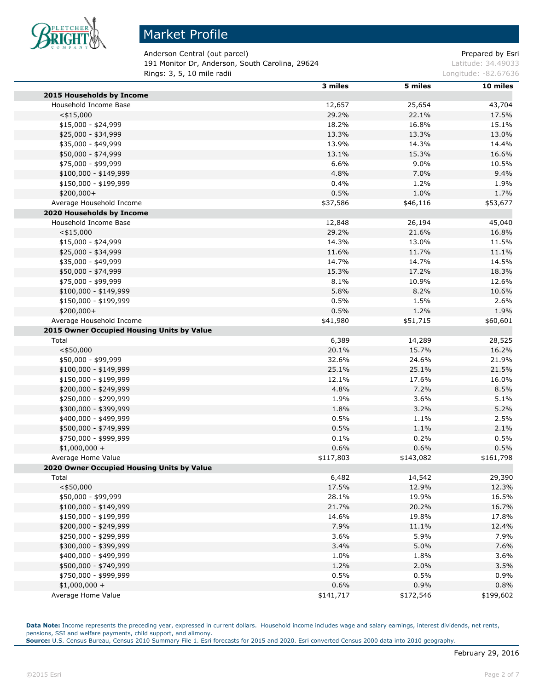

Anderson Central (out parcel) and a set of the part of the Prepared by Esri 191 Monitor Dr, Anderson, South Carolina, 29624 Latitude: 34.49033 **Rings: 3, 5, 10 mile radii Longitude: -82.67636 Longitude: -82.67636** 

|                                            | 3 miles   | 5 miles   | 10 miles  |
|--------------------------------------------|-----------|-----------|-----------|
| 2015 Households by Income                  |           |           |           |
| Household Income Base                      | 12,657    | 25,654    | 43,704    |
| $<$ \$15,000                               | 29.2%     | 22.1%     | 17.5%     |
| $$15,000 - $24,999$                        | 18.2%     | 16.8%     | 15.1%     |
| \$25,000 - \$34,999                        | 13.3%     | 13.3%     | 13.0%     |
| \$35,000 - \$49,999                        | 13.9%     | 14.3%     | 14.4%     |
| \$50,000 - \$74,999                        | 13.1%     | 15.3%     | 16.6%     |
| \$75,000 - \$99,999                        | 6.6%      | 9.0%      | 10.5%     |
| $$100,000 - $149,999$                      | 4.8%      | 7.0%      | 9.4%      |
| \$150,000 - \$199,999                      | 0.4%      | 1.2%      | 1.9%      |
| \$200,000+                                 | 0.5%      | 1.0%      | 1.7%      |
| Average Household Income                   | \$37,586  | \$46,116  | \$53,677  |
| 2020 Households by Income                  |           |           |           |
| Household Income Base                      | 12,848    | 26,194    | 45,040    |
| $<$ \$15,000                               | 29.2%     | 21.6%     | 16.8%     |
| $$15,000 - $24,999$                        | 14.3%     | 13.0%     | 11.5%     |
| \$25,000 - \$34,999                        | 11.6%     | 11.7%     | 11.1%     |
|                                            | 14.7%     | 14.7%     |           |
| \$35,000 - \$49,999                        |           |           | 14.5%     |
| \$50,000 - \$74,999                        | 15.3%     | 17.2%     | 18.3%     |
| \$75,000 - \$99,999                        | 8.1%      | 10.9%     | 12.6%     |
| $$100,000 - $149,999$                      | 5.8%      | 8.2%      | 10.6%     |
| \$150,000 - \$199,999                      | 0.5%      | 1.5%      | 2.6%      |
| \$200,000+                                 | 0.5%      | 1.2%      | 1.9%      |
| Average Household Income                   | \$41,980  | \$51,715  | \$60,601  |
| 2015 Owner Occupied Housing Units by Value |           |           |           |
| Total                                      | 6,389     | 14,289    | 28,525    |
| $<$ \$50,000                               | 20.1%     | 15.7%     | 16.2%     |
| \$50,000 - \$99,999                        | 32.6%     | 24.6%     | 21.9%     |
| $$100,000 - $149,999$                      | 25.1%     | 25.1%     | 21.5%     |
| \$150,000 - \$199,999                      | 12.1%     | 17.6%     | 16.0%     |
| \$200,000 - \$249,999                      | 4.8%      | 7.2%      | 8.5%      |
| \$250,000 - \$299,999                      | 1.9%      | 3.6%      | 5.1%      |
| \$300,000 - \$399,999                      | 1.8%      | 3.2%      | 5.2%      |
| \$400,000 - \$499,999                      | 0.5%      | 1.1%      | 2.5%      |
| \$500,000 - \$749,999                      | 0.5%      | 1.1%      | 2.1%      |
| \$750,000 - \$999,999                      | 0.1%      | 0.2%      | 0.5%      |
| $$1,000,000 +$                             | 0.6%      | 0.6%      | 0.5%      |
| Average Home Value                         | \$117,803 | \$143,082 | \$161,798 |
| 2020 Owner Occupied Housing Units by Value |           |           |           |
| Total                                      | 6,482     | 14,542    | 29,390    |
| $<$ \$50,000                               | 17.5%     | 12.9%     | 12.3%     |
| \$50,000 - \$99,999                        | 28.1%     | 19.9%     | 16.5%     |
| $$100,000 - $149,999$                      | 21.7%     | 20.2%     | 16.7%     |
| \$150,000 - \$199,999                      | 14.6%     | 19.8%     | 17.8%     |
| \$200,000 - \$249,999                      | 7.9%      | 11.1%     | 12.4%     |
| \$250,000 - \$299,999                      | 3.6%      | 5.9%      | 7.9%      |
| \$300,000 - \$399,999                      | 3.4%      | 5.0%      | 7.6%      |
| \$400,000 - \$499,999                      | 1.0%      | 1.8%      | 3.6%      |
| \$500,000 - \$749,999                      | 1.2%      | 2.0%      | 3.5%      |
| \$750,000 - \$999,999                      | 0.5%      | 0.5%      | 0.9%      |
| $$1,000,000 +$                             | 0.6%      | 0.9%      | 0.8%      |
| Average Home Value                         | \$141,717 | \$172,546 | \$199,602 |
|                                            |           |           |           |

Data Note: Income represents the preceding year, expressed in current dollars. Household income includes wage and salary earnings, interest dividends, net rents, pensions, SSI and welfare payments, child support, and alimony. **Source:** U.S. Census Bureau, Census 2010 Summary File 1. Esri forecasts for 2015 and 2020. Esri converted Census 2000 data into 2010 geography.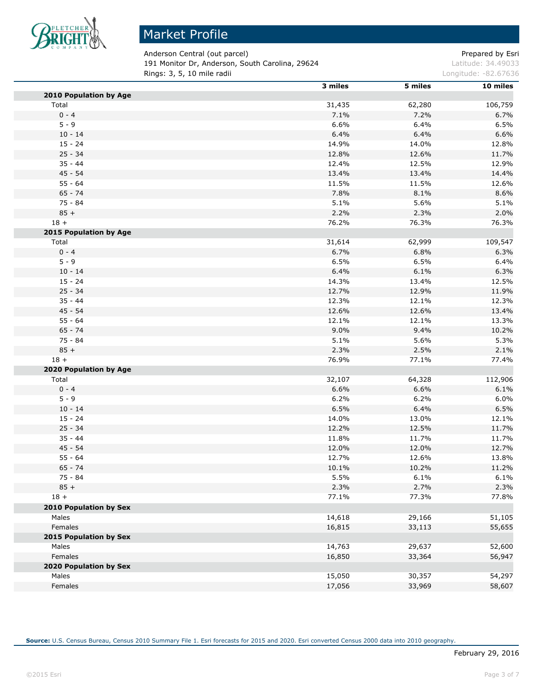

Anderson Central (out parcel) and a set of the part of the Prepared by Esri 191 Monitor Dr, Anderson, South Carolina, 29624 Latitude: 34.49033 **Rings: 3, 5, 10 mile radii Longitude: -82.67636 Longitude: -82.67636** 

|                        | 3 miles | 5 miles | 10 miles |
|------------------------|---------|---------|----------|
| 2010 Population by Age |         |         |          |
| Total                  | 31,435  | 62,280  | 106,759  |
| $0 - 4$                | 7.1%    | 7.2%    | 6.7%     |
| $5 - 9$                | 6.6%    | 6.4%    | 6.5%     |
| $10 - 14$              | 6.4%    | 6.4%    | 6.6%     |
| $15 - 24$              | 14.9%   | 14.0%   | 12.8%    |
| $25 - 34$              | 12.8%   | 12.6%   | 11.7%    |
| $35 - 44$              | 12.4%   | 12.5%   | 12.9%    |
| 45 - 54                | 13.4%   | 13.4%   | 14.4%    |
| $55 - 64$              | 11.5%   | 11.5%   | 12.6%    |
| $65 - 74$              | 7.8%    | 8.1%    | 8.6%     |
| $75 - 84$              | 5.1%    | 5.6%    | 5.1%     |
| $85 +$                 | 2.2%    | 2.3%    | 2.0%     |
| $18 +$                 | 76.2%   | 76.3%   | 76.3%    |
| 2015 Population by Age |         |         |          |
| Total                  | 31,614  | 62,999  | 109,547  |
| $0 - 4$                | 6.7%    | 6.8%    | 6.3%     |
| $5 - 9$                | 6.5%    | 6.5%    | 6.4%     |
| $10 - 14$              | 6.4%    | 6.1%    | 6.3%     |
| $15 - 24$              | 14.3%   | 13.4%   | 12.5%    |
| $25 - 34$              | 12.7%   | 12.9%   | 11.9%    |
| $35 - 44$              | 12.3%   | 12.1%   | 12.3%    |
| 45 - 54                | 12.6%   | 12.6%   | 13.4%    |
| $55 - 64$              | 12.1%   | 12.1%   | 13.3%    |
| $65 - 74$              | 9.0%    | 9.4%    | 10.2%    |
| $75 - 84$              | 5.1%    | 5.6%    | 5.3%     |
| $85 +$                 | 2.3%    | 2.5%    | 2.1%     |
| $18 +$                 | 76.9%   | 77.1%   | 77.4%    |
| 2020 Population by Age |         |         |          |
| Total                  | 32,107  | 64,328  | 112,906  |
| $0 - 4$                | 6.6%    | 6.6%    | 6.1%     |
| $5 - 9$                | 6.2%    | 6.2%    | 6.0%     |
| $10 - 14$              | 6.5%    | 6.4%    | 6.5%     |
| $15 - 24$              | 14.0%   | 13.0%   | 12.1%    |
| $25 - 34$              | 12.2%   | 12.5%   | 11.7%    |
| $35 - 44$              | 11.8%   | 11.7%   | 11.7%    |
| 45 - 54                | 12.0%   | 12.0%   | 12.7%    |
| $55 - 64$              | 12.7%   | 12.6%   | 13.8%    |
| $65 - 74$              | 10.1%   | 10.2%   | 11.2%    |
| 75 - 84                | 5.5%    | 6.1%    | 6.1%     |
| $85 +$                 | 2.3%    | 2.7%    | 2.3%     |
| $18 +$                 | 77.1%   | 77.3%   | 77.8%    |
| 2010 Population by Sex |         |         |          |
| Males                  | 14,618  | 29,166  |          |
| Females                | 16,815  | 33,113  | 51,105   |
| 2015 Population by Sex |         |         | 55,655   |
| Males                  |         |         |          |
| Females                | 14,763  | 29,637  | 52,600   |
| 2020 Population by Sex | 16,850  | 33,364  | 56,947   |
|                        |         |         |          |
| Males                  | 15,050  | 30,357  | 54,297   |
| Females                | 17,056  | 33,969  | 58,607   |

**Source:** U.S. Census Bureau, Census 2010 Summary File 1. Esri forecasts for 2015 and 2020. Esri converted Census 2000 data into 2010 geography.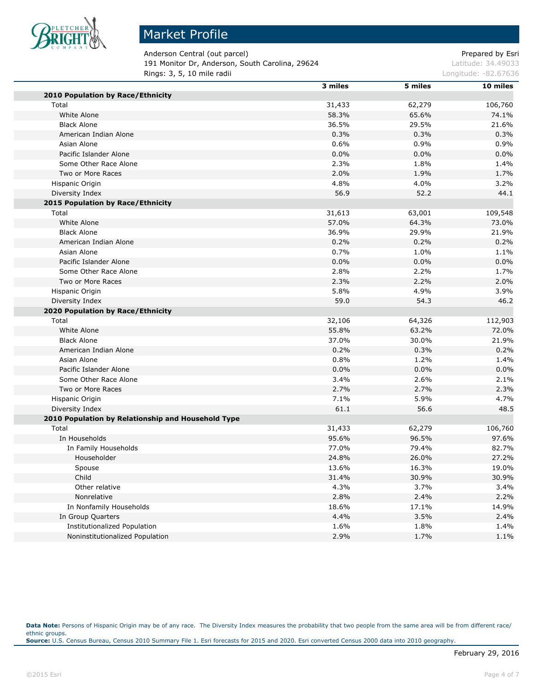

# Market Profile

Anderson Central (out parcel) and a set of the part of the Prepared by Esri 191 Monitor Dr, Anderson, South Carolina, 29624 Latitude: 34.49033 **Rings: 3, 5, 10 mile radii Longitude: -82.67636 Longitude: -82.67636** 

|                                                    | 3 miles | 5 miles | 10 miles |
|----------------------------------------------------|---------|---------|----------|
| 2010 Population by Race/Ethnicity                  |         |         |          |
| Total                                              | 31,433  | 62,279  | 106,760  |
| White Alone                                        | 58.3%   | 65.6%   | 74.1%    |
| <b>Black Alone</b>                                 | 36.5%   | 29.5%   | 21.6%    |
| American Indian Alone                              | 0.3%    | 0.3%    | 0.3%     |
| Asian Alone                                        | 0.6%    | 0.9%    | 0.9%     |
| Pacific Islander Alone                             | 0.0%    | 0.0%    | 0.0%     |
| Some Other Race Alone                              | 2.3%    | 1.8%    | 1.4%     |
| Two or More Races                                  | 2.0%    | 1.9%    | 1.7%     |
| Hispanic Origin                                    | 4.8%    | 4.0%    | 3.2%     |
| Diversity Index                                    | 56.9    | 52.2    | 44.1     |
| 2015 Population by Race/Ethnicity                  |         |         |          |
| Total                                              | 31,613  | 63,001  | 109,548  |
| White Alone                                        | 57.0%   | 64.3%   | 73.0%    |
| <b>Black Alone</b>                                 | 36.9%   | 29.9%   | 21.9%    |
| American Indian Alone                              | 0.2%    | 0.2%    | 0.2%     |
| Asian Alone                                        | 0.7%    | 1.0%    | 1.1%     |
| Pacific Islander Alone                             | 0.0%    | 0.0%    | 0.0%     |
| Some Other Race Alone                              | 2.8%    | 2.2%    | 1.7%     |
| Two or More Races                                  | 2.3%    | 2.2%    | 2.0%     |
| Hispanic Origin                                    | 5.8%    | 4.9%    | 3.9%     |
| Diversity Index                                    | 59.0    | 54.3    | 46.2     |
| 2020 Population by Race/Ethnicity                  |         |         |          |
| Total                                              | 32,106  | 64,326  | 112,903  |
| White Alone                                        | 55.8%   | 63.2%   | 72.0%    |
| <b>Black Alone</b>                                 | 37.0%   | 30.0%   | 21.9%    |
| American Indian Alone                              | 0.2%    | 0.3%    | 0.2%     |
| Asian Alone                                        | 0.8%    | 1.2%    | 1.4%     |
| Pacific Islander Alone                             | 0.0%    | 0.0%    | 0.0%     |
| Some Other Race Alone                              | 3.4%    | 2.6%    | 2.1%     |
| Two or More Races                                  | 2.7%    | 2.7%    | 2.3%     |
| Hispanic Origin                                    | 7.1%    | 5.9%    | 4.7%     |
| Diversity Index                                    | 61.1    | 56.6    | 48.5     |
| 2010 Population by Relationship and Household Type |         |         |          |
| Total                                              | 31,433  | 62,279  | 106,760  |
| In Households                                      | 95.6%   | 96.5%   | 97.6%    |
| In Family Households                               | 77.0%   | 79.4%   | 82.7%    |
| Householder                                        | 24.8%   | 26.0%   | 27.2%    |
| Spouse                                             | 13.6%   | 16.3%   | 19.0%    |
| Child                                              | 31.4%   | 30.9%   | 30.9%    |
| Other relative                                     | 4.3%    | 3.7%    | 3.4%     |
| Nonrelative                                        | 2.8%    | 2.4%    | 2.2%     |
| In Nonfamily Households                            | 18.6%   | 17.1%   | 14.9%    |
| In Group Quarters                                  | 4.4%    | 3.5%    | 2.4%     |
| <b>Institutionalized Population</b>                | 1.6%    | 1.8%    | 1.4%     |
| Noninstitutionalized Population                    | 2.9%    | 1.7%    | 1.1%     |
|                                                    |         |         |          |

Data Note: Persons of Hispanic Origin may be of any race. The Diversity Index measures the probability that two people from the same area will be from different race/ ethnic groups. **Source:** U.S. Census Bureau, Census 2010 Summary File 1. Esri forecasts for 2015 and 2020. Esri converted Census 2000 data into 2010 geography.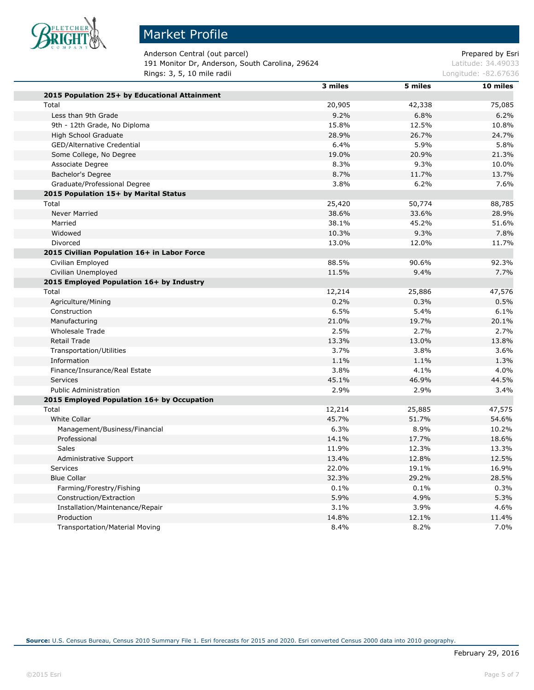

Anderson Central (out parcel) and a set of the part of the Prepared by Esri 191 Monitor Dr, Anderson, South Carolina, 29624 Latitude: 34.49033 **Rings: 3, 5, 10 mile radii Longitude: -82.67636** Longitude: -82.67636

|                                               | 3 miles | 5 miles | 10 miles |
|-----------------------------------------------|---------|---------|----------|
| 2015 Population 25+ by Educational Attainment |         |         |          |
| Total                                         | 20,905  | 42,338  | 75,085   |
| Less than 9th Grade                           | 9.2%    | 6.8%    | 6.2%     |
| 9th - 12th Grade, No Diploma                  | 15.8%   | 12.5%   | 10.8%    |
| High School Graduate                          | 28.9%   | 26.7%   | 24.7%    |
| <b>GED/Alternative Credential</b>             | 6.4%    | 5.9%    | 5.8%     |
| Some College, No Degree                       | 19.0%   | 20.9%   | 21.3%    |
| Associate Degree                              | 8.3%    | 9.3%    | 10.0%    |
| Bachelor's Degree                             | 8.7%    | 11.7%   | 13.7%    |
| Graduate/Professional Degree                  | 3.8%    | 6.2%    | 7.6%     |
| 2015 Population 15+ by Marital Status         |         |         |          |
| Total                                         | 25,420  | 50,774  | 88,785   |
| <b>Never Married</b>                          | 38.6%   | 33.6%   | 28.9%    |
| Married                                       | 38.1%   | 45.2%   | 51.6%    |
| Widowed                                       | 10.3%   | 9.3%    | 7.8%     |
| Divorced                                      | 13.0%   | 12.0%   | 11.7%    |
| 2015 Civilian Population 16+ in Labor Force   |         |         |          |
| Civilian Employed                             | 88.5%   | 90.6%   | 92.3%    |
| Civilian Unemployed                           | 11.5%   | 9.4%    | 7.7%     |
| 2015 Employed Population 16+ by Industry      |         |         |          |
| Total                                         | 12,214  | 25,886  | 47,576   |
| Agriculture/Mining                            | 0.2%    | 0.3%    | 0.5%     |
| Construction                                  | 6.5%    | 5.4%    | 6.1%     |
| Manufacturing                                 | 21.0%   | 19.7%   | 20.1%    |
| <b>Wholesale Trade</b>                        | 2.5%    | 2.7%    | 2.7%     |
| <b>Retail Trade</b>                           | 13.3%   | 13.0%   | 13.8%    |
| <b>Transportation/Utilities</b>               | 3.7%    | 3.8%    | 3.6%     |
| Information                                   | 1.1%    | 1.1%    | 1.3%     |
| Finance/Insurance/Real Estate                 | 3.8%    | 4.1%    | 4.0%     |
| Services                                      | 45.1%   | 46.9%   | 44.5%    |
| <b>Public Administration</b>                  | 2.9%    | 2.9%    | 3.4%     |
| 2015 Employed Population 16+ by Occupation    |         |         |          |
| Total                                         | 12,214  | 25,885  | 47,575   |
| <b>White Collar</b>                           | 45.7%   | 51.7%   | 54.6%    |
| Management/Business/Financial                 | 6.3%    | 8.9%    | 10.2%    |
| Professional                                  | 14.1%   | 17.7%   | 18.6%    |
| <b>Sales</b>                                  | 11.9%   | 12.3%   | 13.3%    |
| Administrative Support                        | 13.4%   | 12.8%   | 12.5%    |
| Services                                      | 22.0%   | 19.1%   | 16.9%    |
| <b>Blue Collar</b>                            | 32.3%   | 29.2%   | 28.5%    |
| Farming/Forestry/Fishing                      | 0.1%    | 0.1%    | 0.3%     |
| Construction/Extraction                       | 5.9%    | 4.9%    | 5.3%     |
| Installation/Maintenance/Repair               | 3.1%    | 3.9%    | 4.6%     |
| Production                                    | 14.8%   | 12.1%   | 11.4%    |
| <b>Transportation/Material Moving</b>         | 8.4%    | 8.2%    | 7.0%     |
|                                               |         |         |          |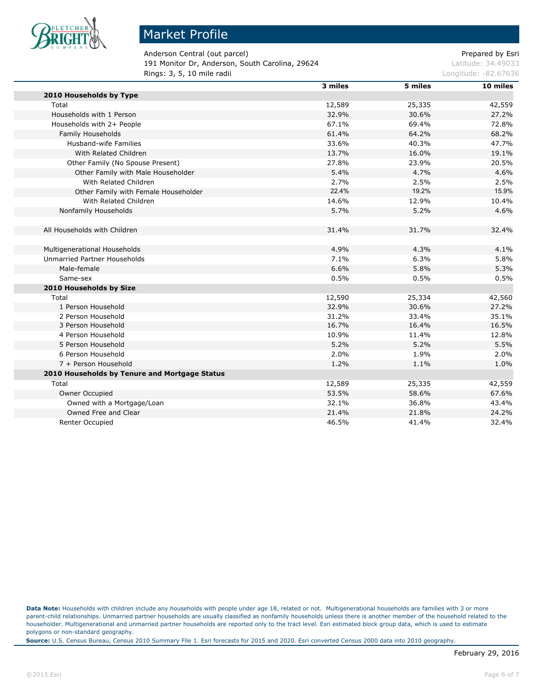

Anderson Central (out parcel) and a set of the particle of the Prepared by Esri 191 Monitor Dr, Anderson, South Carolina, 29624 Latitude: 34.49033 **Rings: 3, 5, 10 mile radii Longitude: -82.67636 Longitude: -82.67636** 

|                                               | 3 miles | 5 miles | 10 miles |
|-----------------------------------------------|---------|---------|----------|
| 2010 Households by Type                       |         |         |          |
| Total                                         | 12,589  | 25,335  | 42,559   |
| Households with 1 Person                      | 32.9%   | 30.6%   | 27.2%    |
| Households with 2+ People                     | 67.1%   | 69.4%   | 72.8%    |
| Family Households                             | 61.4%   | 64.2%   | 68.2%    |
| Husband-wife Families                         | 33.6%   | 40.3%   | 47.7%    |
| With Related Children                         | 13.7%   | 16.0%   | 19.1%    |
| Other Family (No Spouse Present)              | 27.8%   | 23.9%   | 20.5%    |
| Other Family with Male Householder            | 5.4%    | 4.7%    | 4.6%     |
| With Related Children                         | 2.7%    | 2.5%    | 2.5%     |
| Other Family with Female Householder          | 22.4%   | 19.2%   | 15.9%    |
| With Related Children                         | 14.6%   | 12.9%   | 10.4%    |
| Nonfamily Households                          | 5.7%    | 5.2%    | 4.6%     |
|                                               |         |         |          |
| All Households with Children                  | 31.4%   | 31.7%   | 32.4%    |
|                                               |         |         |          |
| Multigenerational Households                  | 4.9%    | 4.3%    | 4.1%     |
| <b>Unmarried Partner Households</b>           | 7.1%    | 6.3%    | 5.8%     |
| Male-female                                   | 6.6%    | 5.8%    | 5.3%     |
| Same-sex                                      | 0.5%    | 0.5%    | 0.5%     |
| 2010 Households by Size                       |         |         |          |
| Total                                         | 12,590  | 25,334  | 42,560   |
| 1 Person Household                            | 32.9%   | 30.6%   | 27.2%    |
| 2 Person Household                            | 31.2%   | 33.4%   | 35.1%    |
| 3 Person Household                            | 16.7%   | 16.4%   | 16.5%    |
| 4 Person Household                            | 10.9%   | 11.4%   | 12.8%    |
| 5 Person Household                            | 5.2%    | 5.2%    | 5.5%     |
| 6 Person Household                            | 2.0%    | 1.9%    | 2.0%     |
| 7 + Person Household                          | 1.2%    | 1.1%    | 1.0%     |
| 2010 Households by Tenure and Mortgage Status |         |         |          |
| Total                                         | 12,589  | 25,335  | 42,559   |
| Owner Occupied                                | 53.5%   | 58.6%   | 67.6%    |
| Owned with a Mortgage/Loan                    | 32.1%   | 36.8%   | 43.4%    |
| Owned Free and Clear                          | 21.4%   | 21.8%   | 24.2%    |
| Renter Occupied                               | 46.5%   | 41.4%   | 32.4%    |

**Data Note:** Households with children include any households with people under age 18, related or not. Multigenerational households are families with 3 or more parent-child relationships. Unmarried partner households are usually classified as nonfamily households unless there is another member of the household related to the householder. Multigenerational and unmarried partner households are reported only to the tract level. Esri estimated block group data, which is used to estimate polygons or non-standard geography.

**Source:** U.S. Census Bureau, Census 2010 Summary File 1. Esri forecasts for 2015 and 2020. Esri converted Census 2000 data into 2010 geography.